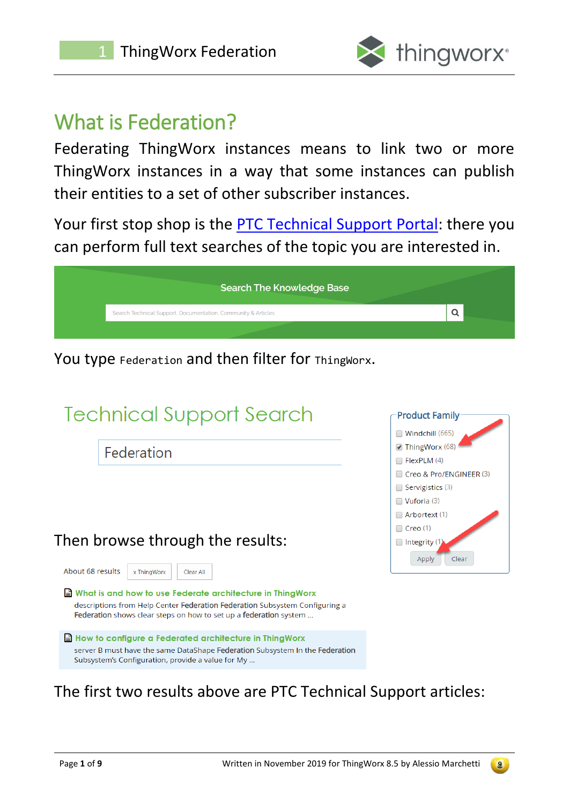

# What is Federation?

Federating ThingWorx instances means to link two or more ThingWorx instances in a way that some instances can publish their entities to a set of other subscriber instances.

Your first stop shop is the [PTC Technical Support Portal:](https://www.ptc.com/en/support) there you can perform full text searches of the topic you are interested in.

| Search Technical Support, Documentation, Community & Articles |
|---------------------------------------------------------------|
|                                                               |

You type Federation and then filter for ThingWorx.

| <b>Technical Support Search</b>                                                                                                                                                                               | <b>Product Family</b>                                                                                                                      |
|---------------------------------------------------------------------------------------------------------------------------------------------------------------------------------------------------------------|--------------------------------------------------------------------------------------------------------------------------------------------|
| Federation                                                                                                                                                                                                    | $\Box$ Windchill (665)<br>ThingWorx (68)<br>$\Box$ FlexPLM (4)<br>Creo & Pro/ENGINEER (3)<br>$\Box$ Servigistics (3)<br>$\Box$ Vuforia (3) |
| Then browse through the results:<br>About 68 results<br>x ThingWorx<br>Clear All                                                                                                                              | $\Box$ Arbortext (1)<br>$\Box$ Creo (1)<br>$\Box$ Integrity (1<br>Clear<br>Apply                                                           |
| What is and how to use Federate architecture in ThingWorx<br>descriptions from Help Center Federation Federation Subsystem Configuring a<br>Federation shows clear steps on how to set up a federation system |                                                                                                                                            |
| $\equiv$ How to configure a Federated architecture in ThingWorx<br>server B must have the same DataShape Federation Subsystem In the Federation<br>Subsystem's Configuration, provide a value for My          |                                                                                                                                            |

#### The first two results above are PTC Technical Support articles:

 $\begin{pmatrix} 9 \end{pmatrix}$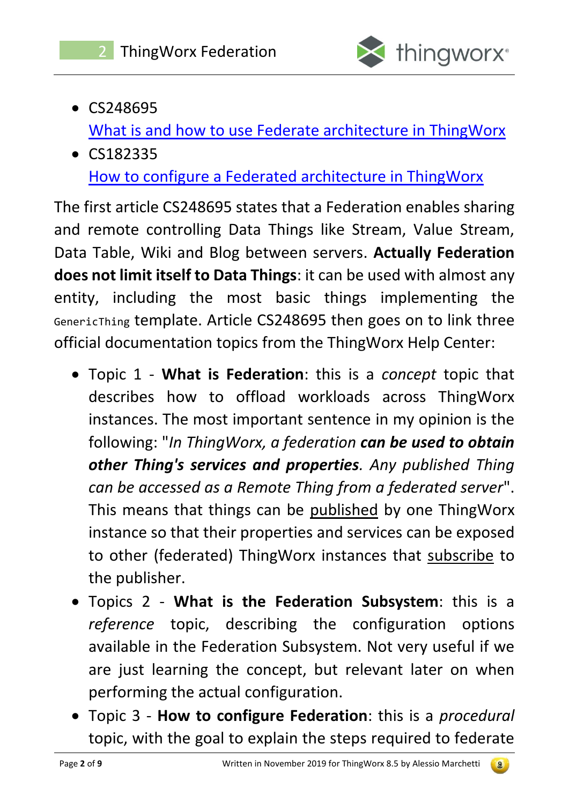

- CS248695 [What is and how to use Federate architecture in ThingWorx](https://www.ptc.com/en/support/article?n=CS248695)
- CS182335 [How to configure a Federated architecture in ThingWorx](https://www.ptc.com/en/support/article?n=CS182335)

The first article CS248695 states that a Federation enables sharing and remote controlling Data Things like Stream, Value Stream, Data Table, Wiki and Blog between servers. **Actually Federation does not limit itself to Data Things**: it can be used with almost any entity, including the most basic things implementing the GenericThing template. Article CS248695 then goes on to link three official documentation topics from the ThingWorx Help Center:

- Topic 1 **What is Federation**: this is a *concept* topic that describes how to offload workloads across ThingWorx instances. The most important sentence in my opinion is the following: "*In ThingWorx, a federation can be used to obtain other Thing's services and properties. Any published Thing can be accessed as a Remote Thing from a federated server*". This means that things can be published by one ThingWorx instance so that their properties and services can be exposed to other (federated) ThingWorx instances that subscribe to the publisher.
- Topics 2 **What is the Federation Subsystem**: this is a *reference* topic, describing the configuration options available in the Federation Subsystem. Not very useful if we are just learning the concept, but relevant later on when performing the actual configuration.
- Topic 3 **How to configure Federation**: this is a *procedural* topic, with the goal to explain the steps required to federate

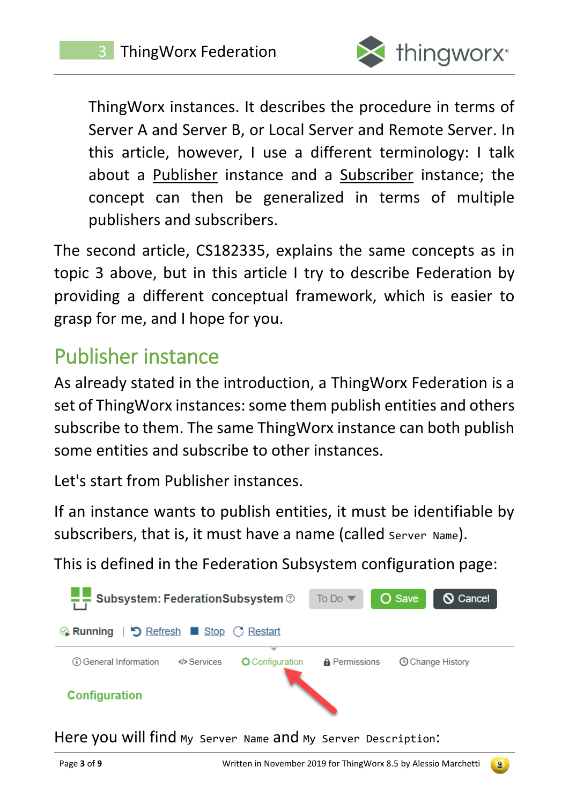

ThingWorx instances. It describes the procedure in terms of Server A and Server B, or Local Server and Remote Server. In this article, however, I use a different terminology: I talk about a Publisher instance and a Subscriber instance; the concept can then be generalized in terms of multiple publishers and subscribers.

The second article, CS182335, explains the same concepts as in topic 3 above, but in this article I try to describe Federation by providing a different conceptual framework, which is easier to grasp for me, and I hope for you.

# Publisher instance

As already stated in the introduction, a ThingWorx Federation is a set of ThingWorx instances: some them publish entities and others subscribe to them. The same ThingWorx instance can both publish some entities and subscribe to other instances.

Let's start from Publisher instances.

If an instance wants to publish entities, it must be identifiable by subscribers, that is, it must have a name (called Server Name).

This is defined in the Federation Subsystem configuration page:



Here you will find My Server Name and My Server Description:

 $\left( 9\right)$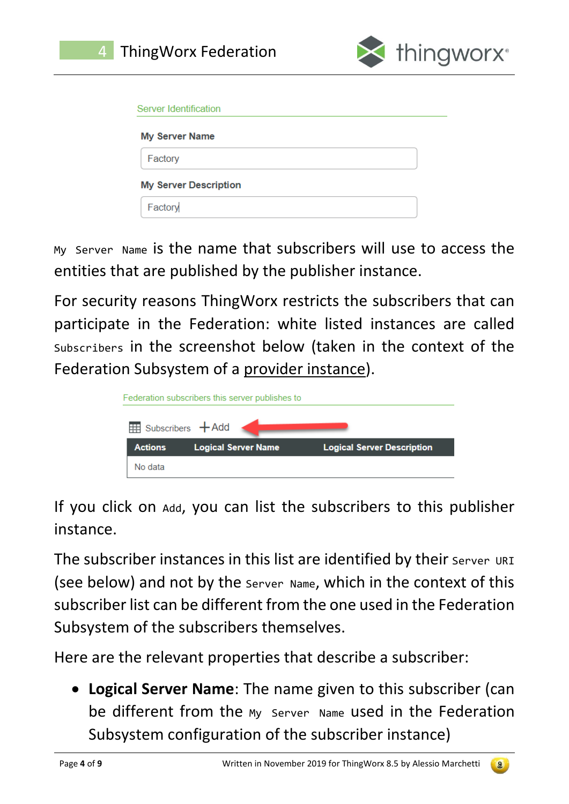![](_page_3_Picture_0.jpeg)

![](_page_3_Picture_1.jpeg)

| Server Identification        |  |
|------------------------------|--|
| <b>My Server Name</b>        |  |
| Factory                      |  |
| <b>My Server Description</b> |  |
| Factory                      |  |

My Server Name is the name that subscribers will use to access the entities that are published by the publisher instance.

For security reasons ThingWorx restricts the subscribers that can participate in the Federation: white listed instances are called Subscribers in the screenshot below (taken in the context of the Federation Subsystem of a provider instance).

|                | Federation subscribers this server publishes to |                                   |
|----------------|-------------------------------------------------|-----------------------------------|
|                | Subscribers $+A$ dd                             |                                   |
| <b>Actions</b> | <b>Logical Server Name</b>                      | <b>Logical Server Description</b> |
| No data        |                                                 |                                   |

If you click on Add, you can list the subscribers to this publisher instance.

The subscriber instances in this list are identified by their Server URI (see below) and not by the Server Name, which in the context of this subscriber list can be different from the one used in the Federation Subsystem of the subscribers themselves.

Here are the relevant properties that describe a subscriber:

• **Logical Server Name**: The name given to this subscriber (can be different from the My Server Name used in the Federation Subsystem configuration of the subscriber instance)

 $\begin{pmatrix} 0 \\ 0 \end{pmatrix}$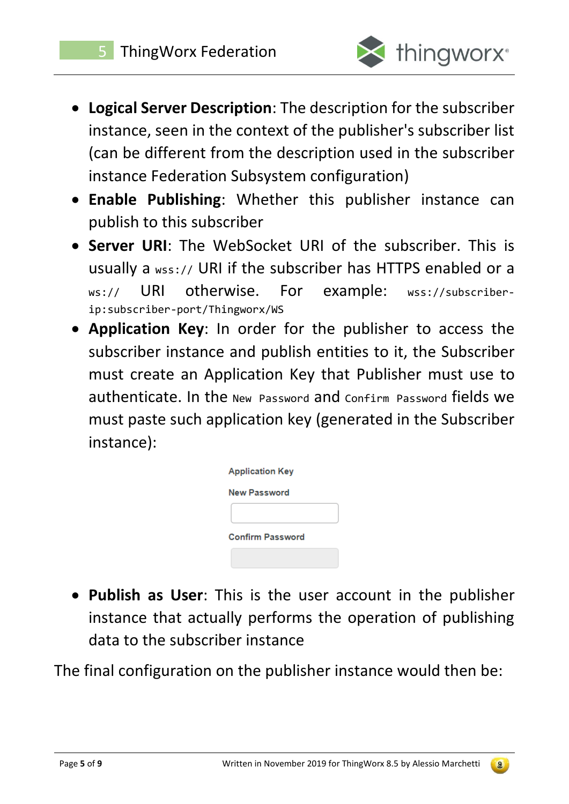![](_page_4_Picture_1.jpeg)

- **Logical Server Description**: The description for the subscriber instance, seen in the context of the publisher's subscriber list (can be different from the description used in the subscriber instance Federation Subsystem configuration)
- **Enable Publishing**: Whether this publisher instance can publish to this subscriber
- **Server URI**: The WebSocket URI of the subscriber. This is usually a wss:// URI if the subscriber has HTTPS enabled or a ws:// URI otherwise. For example: wss://subscriberip:subscriber-port/Thingworx/WS
- **Application Key**: In order for the publisher to access the subscriber instance and publish entities to it, the Subscriber must create an Application Key that Publisher must use to authenticate. In the New Password and Confirm Password fields we must paste such application key (generated in the Subscriber instance):

| <b>Application Key</b>  |
|-------------------------|
| <b>New Password</b>     |
|                         |
| <b>Confirm Password</b> |
|                         |

• **Publish as User**: This is the user account in the publisher instance that actually performs the operation of publishing data to the subscriber instance

The final configuration on the publisher instance would then be:

![](_page_4_Picture_11.jpeg)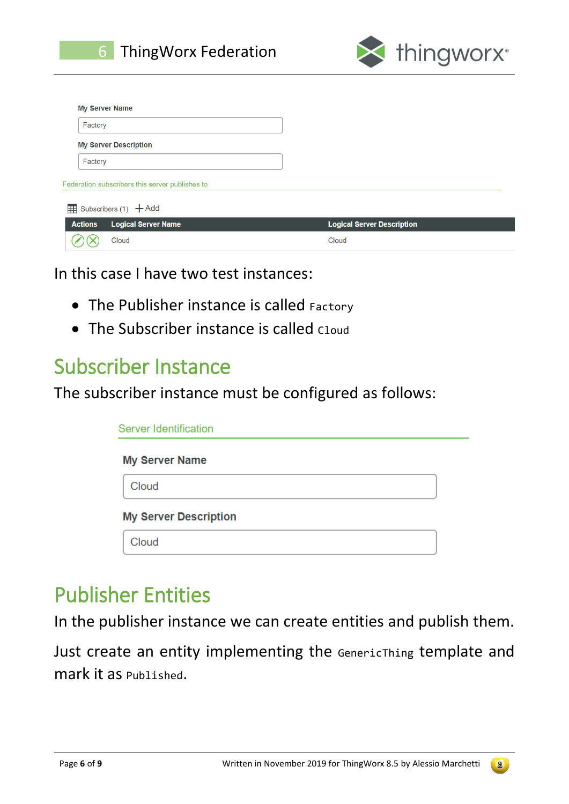![](_page_5_Picture_0.jpeg)

![](_page_5_Picture_1.jpeg)

|                | <b>My Server Name</b>                           |                                   |
|----------------|-------------------------------------------------|-----------------------------------|
| Factory        |                                                 |                                   |
|                | <b>My Server Description</b>                    |                                   |
| Factory        |                                                 |                                   |
|                | Federation subscribers this server publishes to |                                   |
|                | $\frac{1}{\sqrt{11}}$ Subscribers (1) $+$ Add   |                                   |
| <b>Actions</b> | <b>Logical Server Name</b>                      | <b>Logical Server Description</b> |
|                | Cloud                                           | Cloud                             |

In this case I have two test instances:

- The Publisher instance is called Factory
- The Subscriber instance is called Cloud

### Subscriber Instance

The subscriber instance must be configured as follows:

| Server Identification        |  |  |
|------------------------------|--|--|
| <b>My Server Name</b>        |  |  |
| Cloud                        |  |  |
| <b>My Server Description</b> |  |  |
| Cloud                        |  |  |

### Publisher Entities

In the publisher instance we can create entities and publish them.

Just create an entity implementing the GenericThing template and mark it as Published.

![](_page_5_Picture_14.jpeg)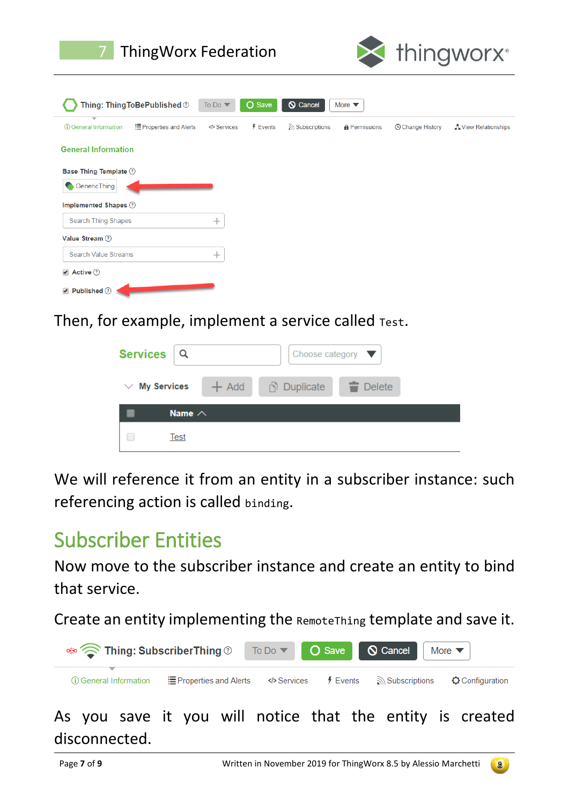| <b>ThingWorx Federation</b>                               |                                                |                 |                           | thingworx <sup>®</sup>  |                      |
|-----------------------------------------------------------|------------------------------------------------|-----------------|---------------------------|-------------------------|----------------------|
| Thing: Thing To Be Published $\circledcirc$               | O<br>To Do $\blacktriangledown$<br><b>Save</b> | <b>Q</b> Cancel | More $\blacktriangledown$ |                         |                      |
| (i) General Information<br><b>E</b> Properties and Alerts | $f$ Events<br>Services                         | Subscriptions   | <b>A</b> Permissions      | <b>O Change History</b> | A View Relationships |
| <b>General Information</b>                                |                                                |                 |                           |                         |                      |
| <b>Base Thing Template ②</b>                              |                                                |                 |                           |                         |                      |
| GenericThing                                              |                                                |                 |                           |                         |                      |
| Implemented Shapes (?)                                    |                                                |                 |                           |                         |                      |
| <b>Search Thing Shapes</b>                                | $\ddot{}$                                      |                 |                           |                         |                      |
| Value Stream (?)                                          |                                                |                 |                           |                         |                      |
| <b>Search Value Streams</b>                               | $\pm$                                          |                 |                           |                         |                      |
| Active 7                                                  |                                                |                 |                           |                         |                      |
| Published (?)                                             |                                                |                 |                           |                         |                      |

Then, for example, implement a service called Test.

| <b>Services</b>    |               |         | Choose category $\blacktriangledown$ |                       |  |
|--------------------|---------------|---------|--------------------------------------|-----------------------|--|
| <b>My Services</b> |               | $+$ Add | <b>Duplicate</b>                     | $\blacksquare$ Delete |  |
|                    | Name $\wedge$ |         |                                      |                       |  |
|                    | Test          |         |                                      |                       |  |

We will reference it from an entity in a subscriber instance: such referencing action is called binding.

# Subscriber Entities

Now move to the subscriber instance and create an entity to bind that service.

Create an entity implementing the RemoteThing template and save it.

| ু Thing: SubscriberThing ®   |                                                                        |  | To Do $\triangledown$ <b>O</b> Save <b>Q Cancel</b> More $\triangledown$ |  |
|------------------------------|------------------------------------------------------------------------|--|--------------------------------------------------------------------------|--|
| ┳<br>(i) General Information | <b>Example 3</b> Frequences Also Subscriptions $\bullet$ Configuration |  |                                                                          |  |
|                              |                                                                        |  |                                                                          |  |

As you save it you will notice that the entity is created disconnected.

![](_page_6_Picture_11.jpeg)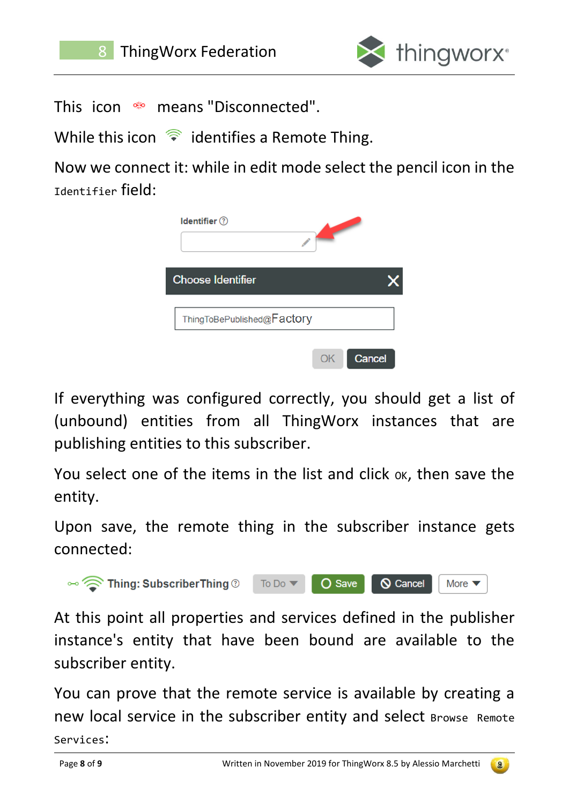![](_page_7_Picture_0.jpeg)

![](_page_7_Picture_2.jpeg)

This icon  $\bullet$  means "Disconnected".

While this icon  $\hat{\epsilon}$  identifies a Remote Thing.

Now we connect it: while in edit mode select the pencil icon in the Identifier field:

| Identifier (?)             |        |
|----------------------------|--------|
| <b>Choose Identifier</b>   |        |
| ThingToBePublished@Factory |        |
|                            | Cancel |

If everything was configured correctly, you should get a list of (unbound) entities from all ThingWorx instances that are publishing entities to this subscriber.

You select one of the items in the list and click ox, then save the entity.

Upon save, the remote thing in the subscriber instance gets connected:

![](_page_7_Picture_10.jpeg)

At this point all properties and services defined in the publisher instance's entity that have been bound are available to the subscriber entity.

You can prove that the remote service is available by creating a new local service in the subscriber entity and select Browse Remote Services:

 $9$